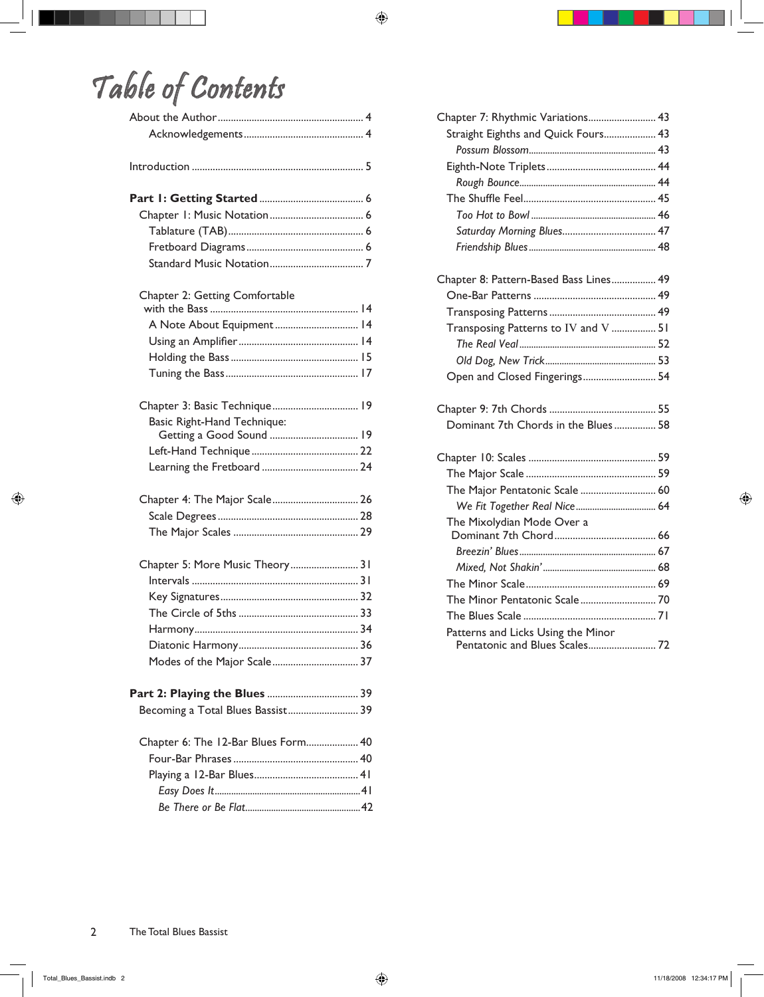## Table of Contents

| Chapter 2: Getting Comfortable      |
|-------------------------------------|
|                                     |
| A Note About Equipment 14           |
|                                     |
|                                     |
|                                     |
| Chapter 3: Basic Technique 19       |
| <b>Basic Right-Hand Technique:</b>  |
| Getting a Good Sound  19            |
|                                     |
|                                     |
| Chapter 4: The Major Scale 26       |
|                                     |
|                                     |
|                                     |
| Chapter 5: More Music Theory 31     |
|                                     |
|                                     |
|                                     |
|                                     |
|                                     |
| Modes of the Major Scale 37         |
|                                     |
| Becoming a Total Blues Bassist 39   |
| Chapter 6: The 12-Bar Blues Form 40 |
|                                     |
|                                     |
|                                     |
|                                     |

| Chapter 7: Rhythmic Variations 43      |  |
|----------------------------------------|--|
| Straight Eighths and Quick Fours 43    |  |
|                                        |  |
|                                        |  |
|                                        |  |
|                                        |  |
|                                        |  |
|                                        |  |
|                                        |  |
| Chapter 8: Pattern-Based Bass Lines 49 |  |
|                                        |  |
|                                        |  |
| Transposing Patterns to IV and V  51   |  |
|                                        |  |
|                                        |  |
| Open and Closed Fingerings 54          |  |
|                                        |  |
| Dominant 7th Chords in the Blues 58    |  |
|                                        |  |
|                                        |  |
| The Major Pentatonic Scale  60         |  |
|                                        |  |
| The Mixolydian Mode Over a             |  |
|                                        |  |
|                                        |  |
|                                        |  |
|                                        |  |
|                                        |  |
| Patterns and Licks Using the Minor     |  |
| Pentatonic and Blues Scales 72         |  |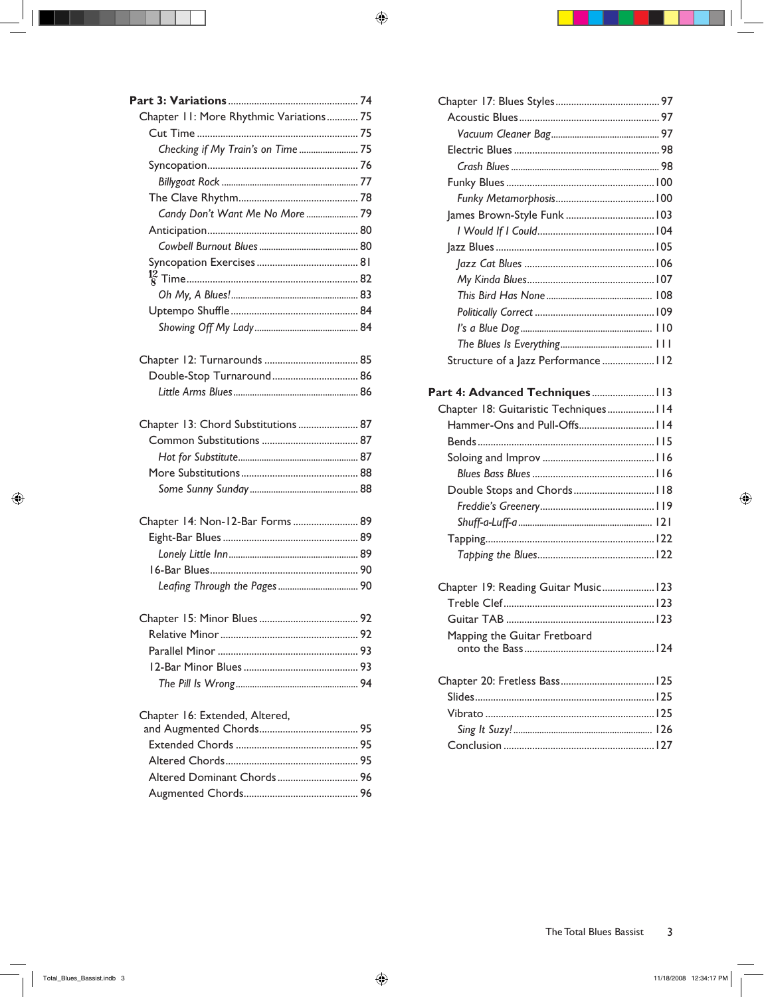| Chapter 11: More Rhythmic Variations 75 |    |
|-----------------------------------------|----|
|                                         |    |
| Checking if My Train's on Time  75      |    |
|                                         |    |
|                                         |    |
|                                         |    |
| Candy Don't Want Me No More  79         |    |
|                                         |    |
|                                         |    |
|                                         |    |
|                                         |    |
|                                         |    |
|                                         |    |
|                                         |    |
|                                         |    |
| Double-Stop Turnaround 86               |    |
|                                         |    |
|                                         |    |
| Chapter 13: Chord Substitutions  87     |    |
|                                         |    |
|                                         |    |
|                                         |    |
|                                         |    |
| Chapter 14: Non-12-Bar Forms  89        |    |
|                                         |    |
|                                         |    |
| 16-Bar Blues.                           | 90 |
|                                         |    |
|                                         |    |
|                                         |    |
|                                         |    |
|                                         |    |
|                                         |    |
|                                         |    |
| Chapter 16: Extended, Altered,          |    |
|                                         |    |
|                                         |    |
|                                         |    |
|                                         |    |
|                                         |    |
|                                         |    |

| Structure of a Jazz Performance  112   |  |
|----------------------------------------|--|
|                                        |  |
| Chapter 18: Guitaristic Techniques 114 |  |
| Hammer-Ons and Pull-Offs 114           |  |
|                                        |  |
|                                        |  |
|                                        |  |
| Double Stops and Chords 118            |  |
|                                        |  |
|                                        |  |
|                                        |  |
|                                        |  |
| Chapter 19: Reading Guitar Music123    |  |
|                                        |  |
|                                        |  |
| Mapping the Guitar Fretboard           |  |
|                                        |  |
|                                        |  |
|                                        |  |
|                                        |  |
|                                        |  |
|                                        |  |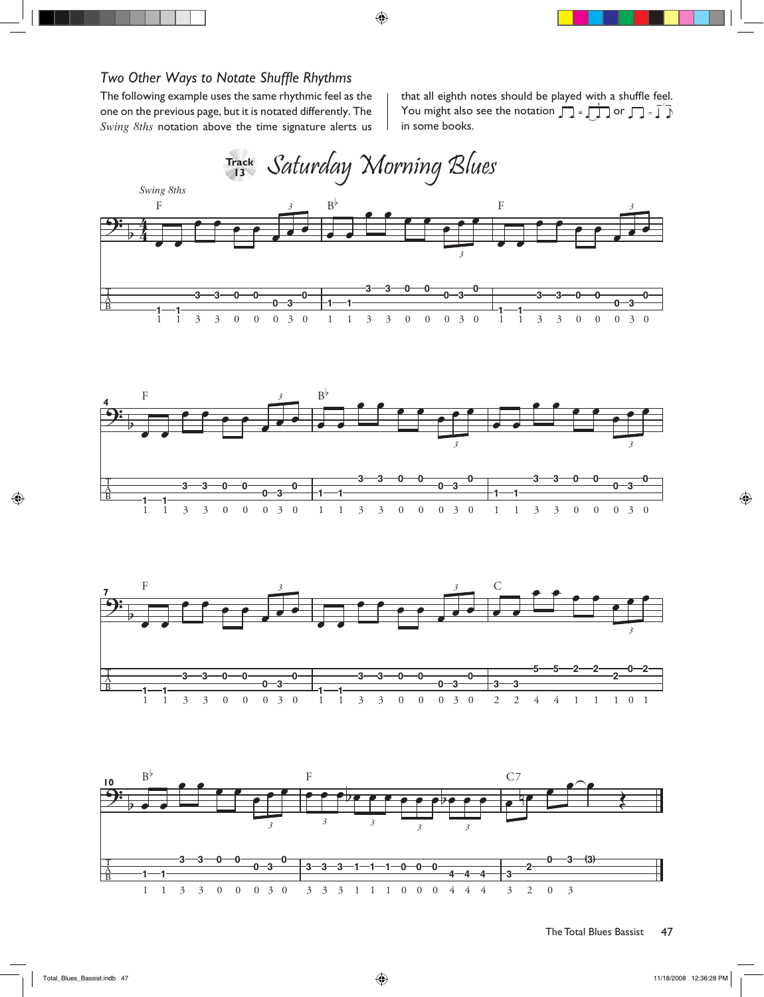## *Two Other Ways to Notate Shuffle Rhythms*

The following example uses the same rhythmic feel as the one on the previous page, but it is notated differently. The *Swing 8ths* notation above the time signature alerts us

that all eighth notes should be played with a shuffle feel. You might also see the notation or *<sup>3</sup>* <sup>œ</sup> <sup>j</sup> œ in some books.



ı





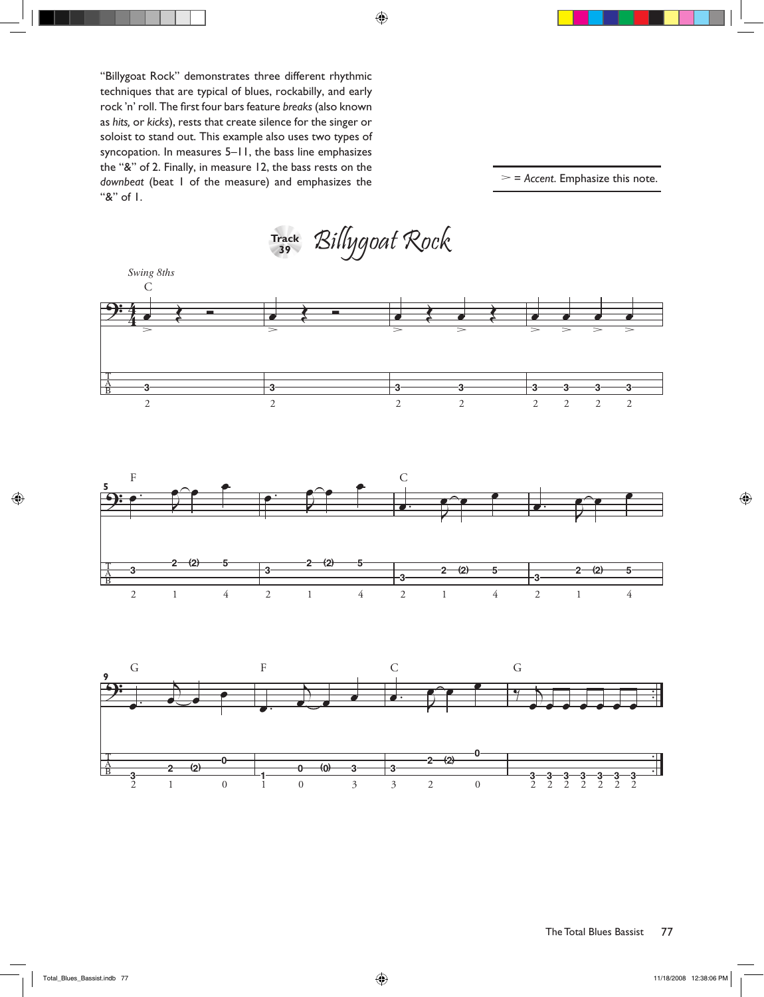"Billygoat Rock" demonstrates three different rhythmic techniques that are typical of blues, rockabilly, and early rock 'n' roll. The first four bars feature *breaks* (also known as *hits,* or *kicks*), rests that create silence for the singer or soloist to stand out. This example also uses two types of syncopation. In measures 5–11, the bass line emphasizes the "&" of 2. Finally, in measure 12, the bass rests on the *downbeat* (beat 1 of the measure) and emphasizes the "&" of 1.

><sup>=</sup>*Accent*. Emphasize this note.

 $\mathcal{B}$ *illygoat* Rock Track<br>39